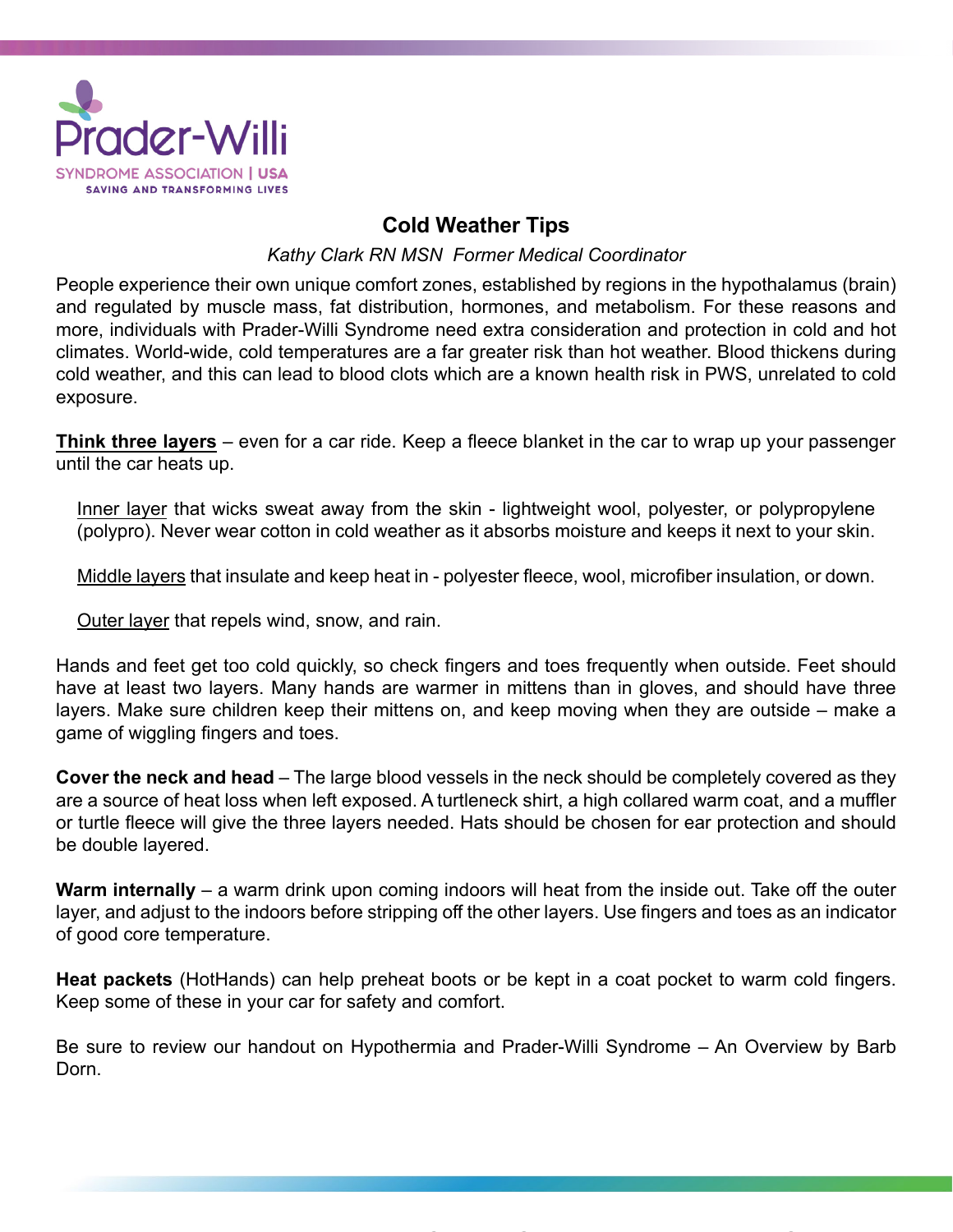

## **Cold Weather Tips**

*Kathy Clark RN MSN Former Medical Coordinator*

People experience their own unique comfort zones, established by regions in the hypothalamus (brain) and regulated by muscle mass, fat distribution, hormones, and metabolism. For these reasons and more, individuals with Prader-Willi Syndrome need extra consideration and protection in cold and hot climates. World-wide, cold temperatures are a far greater risk than hot weather. Blood thickens during cold weather, and this can lead to blood clots which are a known health risk in PWS, unrelated to cold exposure.

**Think three layers** – even for a car ride. Keep a fleece blanket in the car to wrap up your passenger until the car heats up.

Inner layer that wicks sweat away from the skin - lightweight wool, polyester, or polypropylene (polypro). Never wear cotton in cold weather as it absorbs moisture and keeps it next to your skin.

Middle layers that insulate and keep heat in - polyester fleece, wool, microfiber insulation, or down.

Outer layer that repels wind, snow, and rain.

Hands and feet get too cold quickly, so check fingers and toes frequently when outside. Feet should have at least two layers. Many hands are warmer in mittens than in gloves, and should have three layers. Make sure children keep their mittens on, and keep moving when they are outside – make a game of wiggling fingers and toes.

**Cover the neck and head** – The large blood vessels in the neck should be completely covered as they are a source of heat loss when left exposed. A turtleneck shirt, a high collared warm coat, and a muffler or turtle fleece will give the three layers needed. Hats should be chosen for ear protection and should be double layered.

**Warm internally** – a warm drink upon coming indoors will heat from the inside out. Take off the outer layer, and adjust to the indoors before stripping off the other layers. Use fingers and toes as an indicator of good core temperature.

**Heat packets** (HotHands) can help preheat boots or be kept in a coat pocket to warm cold fingers. Keep some of these in your car for safety and comfort.

Be sure to review our handout on Hypothermia and Prader-Willi Syndrome – An Overview by Barb Dorn.